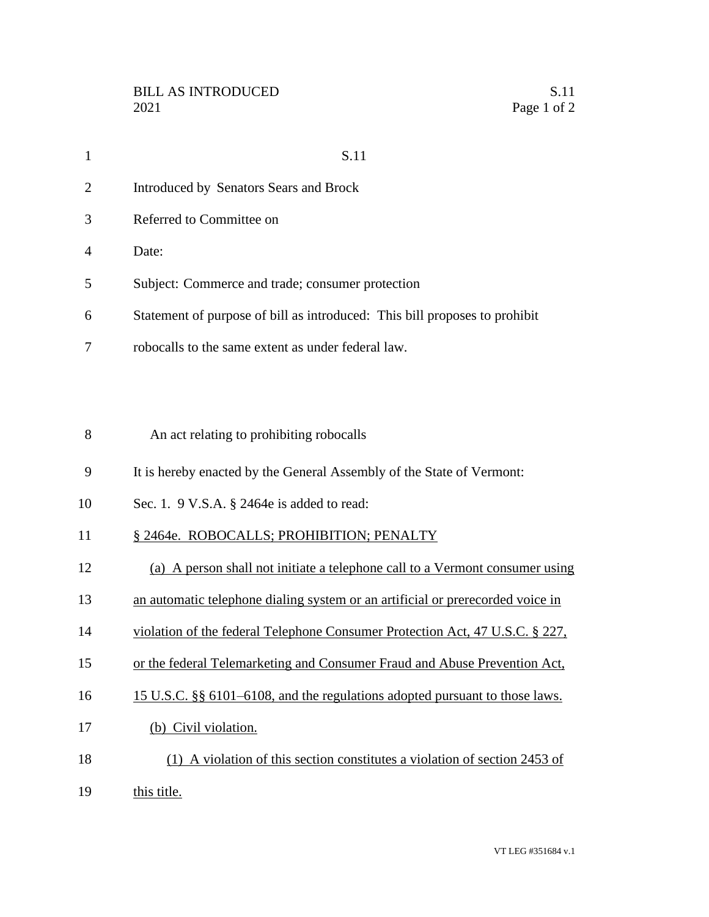| $\mathbf{1}$   | S.11                                                                       |
|----------------|----------------------------------------------------------------------------|
| 2              | Introduced by Senators Sears and Brock                                     |
| 3              | Referred to Committee on                                                   |
| $\overline{A}$ | Date:                                                                      |
| 5              | Subject: Commerce and trade; consumer protection                           |
| 6              | Statement of purpose of bill as introduced: This bill proposes to prohibit |
| 7              | robocalls to the same extent as under federal law.                         |

- An act relating to prohibiting robocalls
- It is hereby enacted by the General Assembly of the State of Vermont:
- Sec. 1. 9 V.S.A. § 2464e is added to read:
- 11 § 2464e. ROBOCALLS; PROHIBITION; PENALTY
- (a) A person shall not initiate a telephone call to a Vermont consumer using
- an automatic telephone dialing system or an artificial or prerecorded voice in
- violation of the federal Telephone Consumer Protection Act, 47 U.S.C. § 227,
- or the federal Telemarketing and Consumer Fraud and Abuse Prevention Act,
- 15 U.S.C. §§ 6101–6108, and the regulations adopted pursuant to those laws.
- (b) Civil violation.
- (1) A violation of this section constitutes a violation of section 2453 of
- this title.